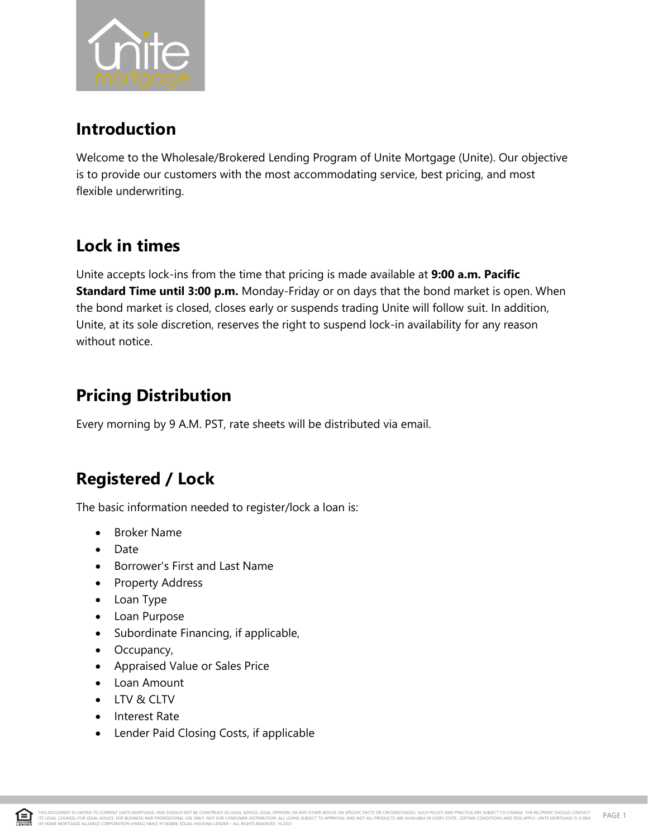

### **Introduction**

Welcome to the Wholesale/Brokered Lending Program of Unite Mortgage (Unite). Our objective is to provide our customers with the most accommodating service, best pricing, and most flexible underwriting.

## **Lock in times**

Unite accepts lock-ins from the time that pricing is made available at **9:00 a.m. Pacific Standard Time until 3:00 p.m.** Monday-Friday or on days that the bond market is open. When the bond market is closed, closes early or suspends trading Unite will follow suit. In addition, Unite, at its sole discretion, reserves the right to suspend lock-in availability for any reason without notice.

## **Pricing Distribution**

Every morning by 9 A.M. PST, rate sheets will be distributed via email.

# **Registered / Lock**

The basic information needed to register/lock a loan is:

- Broker Name
- Date
- Borrower's First and Last Name
- Property Address
- Loan Type
- Loan Purpose
- Subordinate Financing, if applicable,
- Occupancy,
- Appraised Value or Sales Price
- Loan Amount
- LTV & CLTV
- Interest Rate
- Lender Paid Closing Costs, if applicable

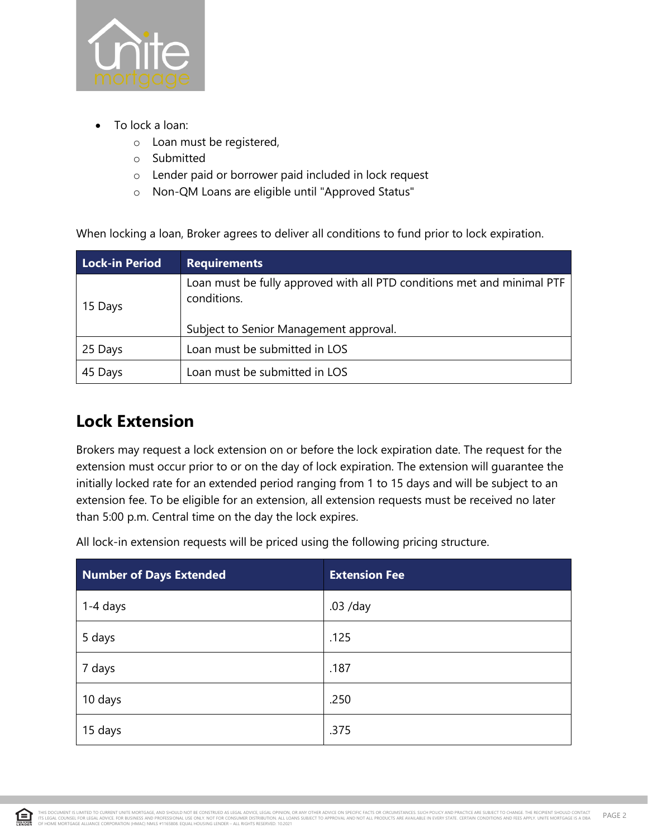

- To lock a loan:
	- o Loan must be registered,
	- o Submitted
	- o Lender paid or borrower paid included in lock request
	- o Non-QM Loans are eligible until "Approved Status"

When locking a loan, Broker agrees to deliver all conditions to fund prior to lock expiration.

| <b>Lock-in Period</b> | <b>Requirements</b>                                                                    |  |
|-----------------------|----------------------------------------------------------------------------------------|--|
| 15 Days               | Loan must be fully approved with all PTD conditions met and minimal PTF<br>conditions. |  |
|                       | Subject to Senior Management approval.                                                 |  |
| 25 Days               | Loan must be submitted in LOS                                                          |  |
| 45 Days               | Loan must be submitted in LOS                                                          |  |

## **Lock Extension**

Brokers may request a lock extension on or before the lock expiration date. The request for the extension must occur prior to or on the day of lock expiration. The extension will guarantee the initially locked rate for an extended period ranging from 1 to 15 days and will be subject to an extension fee. To be eligible for an extension, all extension requests must be received no later than 5:00 p.m. Central time on the day the lock expires.

All lock-in extension requests will be priced using the following pricing structure.

| Number of Days Extended | <b>Extension Fee</b> |
|-------------------------|----------------------|
| 1-4 days                | .03 /day             |
| 5 days                  | .125                 |
| 7 days                  | .187                 |
| 10 days                 | .250                 |
| 15 days                 | .375                 |